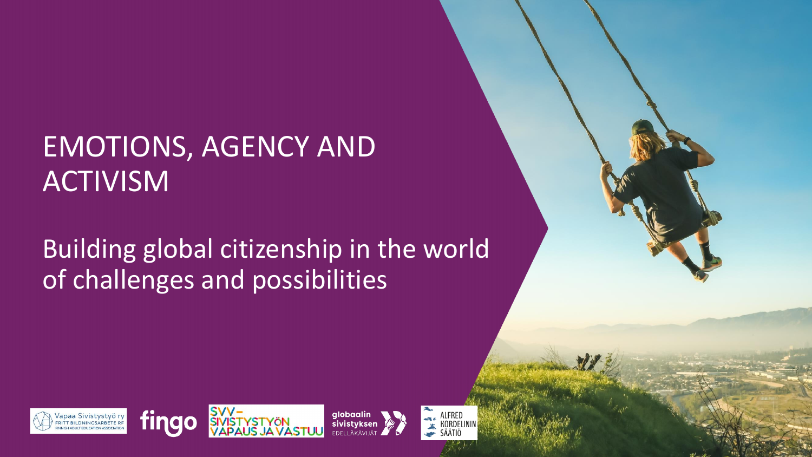### EMOTIONS, AGENCY AND ACTIVISM

### Building global citizenship in the world of challenges and possibilities







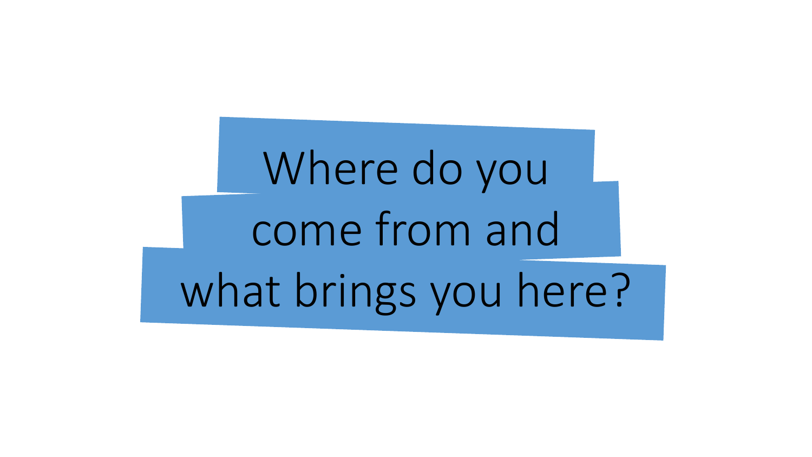Where do you come from and what brings you here?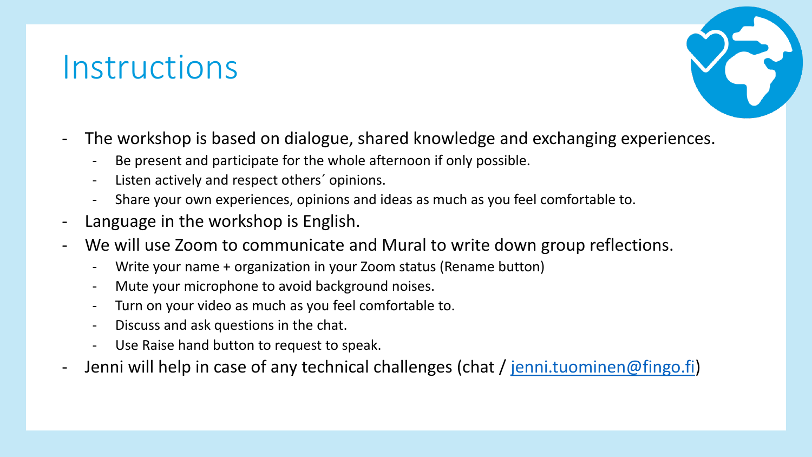### **Instructions**



- The workshop is based on dialogue, shared knowledge and exchanging experiences.
	- Be present and participate for the whole afternoon if only possible.
	- Listen actively and respect others´ opinions.
	- Share your own experiences, opinions and ideas as much as you feel comfortable to.
- Language in the workshop is English.
- We will use Zoom to communicate and Mural to write down group reflections.
	- Write your name + organization in your Zoom status (Rename button)
	- Mute your microphone to avoid background noises.
	- Turn on your video as much as you feel comfortable to.
	- Discuss and ask questions in the chat.
	- Use Raise hand button to request to speak.
- Jenni will help in case of any technical challenges (chat / [jenni.tuominen@fingo.fi\)](mailto:jenni.tuominen@fingo.fi)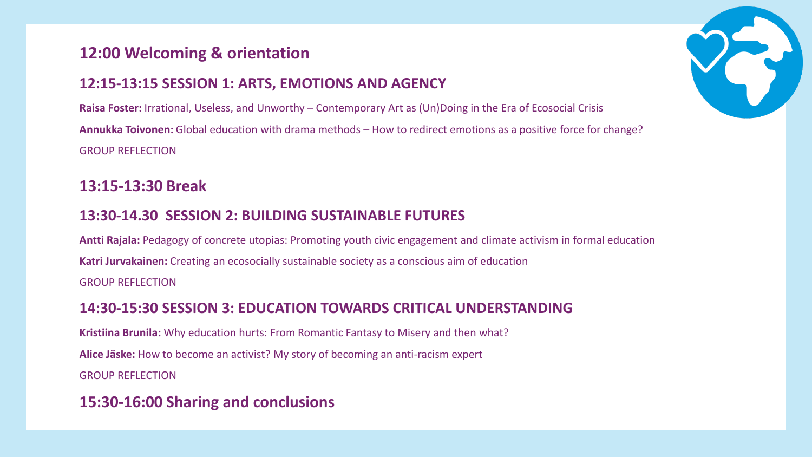#### **12:00 Welcoming & orientation**

#### **12:15-13:15 SESSION 1: ARTS, EMOTIONS AND AGENCY**

**Raisa Foster:** Irrational, Useless, and Unworthy – Contemporary Art as (Un)Doing in the Era of Ecosocial Crisis **Annukka Toivonen:** Global education with drama methods – How to redirect emotions as a positive force for change? GROUP REFLECTION

#### **13:15-13:30 Break**

#### **13:30-14.30 SESSION 2: BUILDING SUSTAINABLE FUTURES**

**Antti Rajala:** Pedagogy of concrete utopias: Promoting youth civic engagement and climate activism in formal education **Katri Jurvakainen:** Creating an ecosocially sustainable society as a conscious aim of education GROUP REFLECTION

#### **14:30-15:30 SESSION 3: EDUCATION TOWARDS CRITICAL UNDERSTANDING**

**Kristiina Brunila:** Why education hurts: From Romantic Fantasy to Misery and then what? **Alice Jäske:** How to become an activist? My story of becoming an anti-racism expert GROUP REFLECTION

#### **15:30-16:00 Sharing and conclusions**

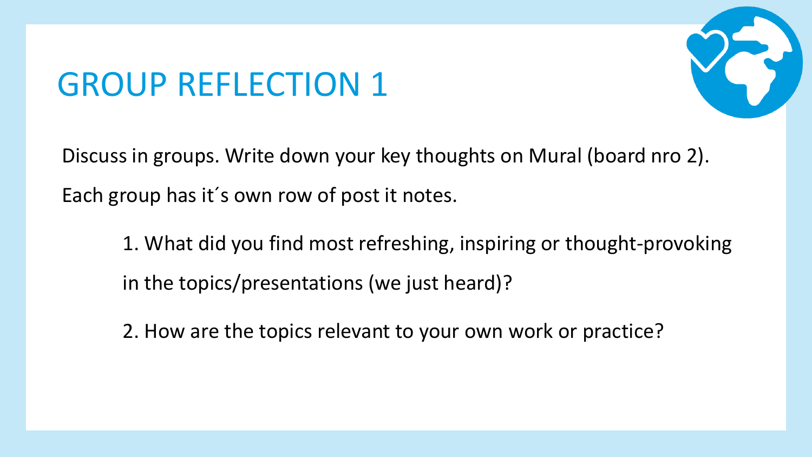### GROUP REFLECTION 1



Discuss in groups. Write down your key thoughts on Mural (board nro 2). Each group has it´s own row of post it notes.

- 1. What did you find most refreshing, inspiring or thought-provoking in the topics/presentations (we just heard)?
- 2. How are the topics relevant to your own work or practice?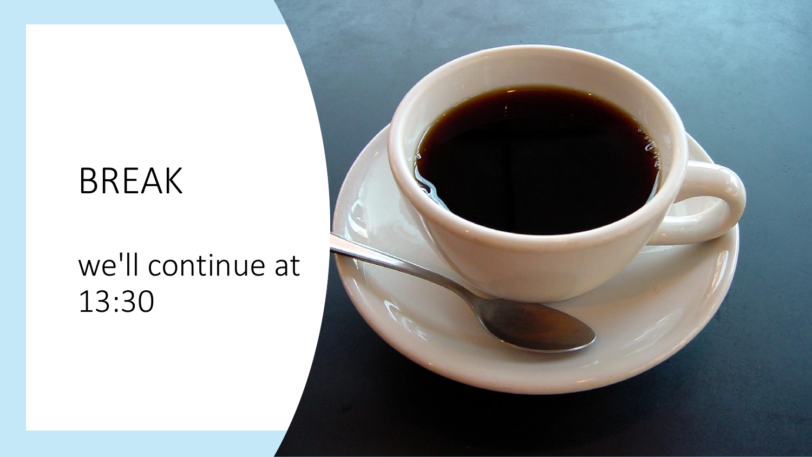### BREAK

### we'll continue at 13:30

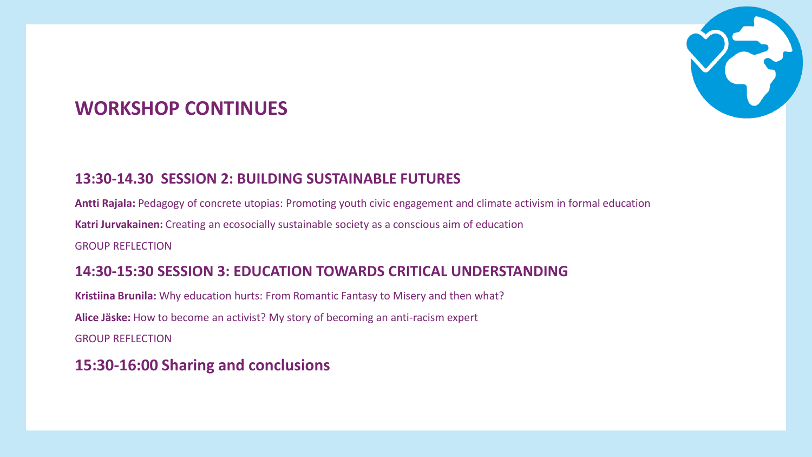

### **WORKSHOP CONTINUES**

#### **13:30-14.30 SESSION 2: BUILDING SUSTAINABLE FUTURES**

**Antti Rajala:** Pedagogy of concrete utopias: Promoting youth civic engagement and climate activism in formal education **Katri Jurvakainen:** Creating an ecosocially sustainable society as a conscious aim of education GROUP REFLECTION

#### **14:30-15:30 SESSION 3: EDUCATION TOWARDS CRITICAL UNDERSTANDING**

**Kristiina Brunila:** Why education hurts: From Romantic Fantasy to Misery and then what? **Alice Jäske:** How to become an activist? My story of becoming an anti-racism expert GROUP REFLECTION

**15:30-16:00 Sharing and conclusions**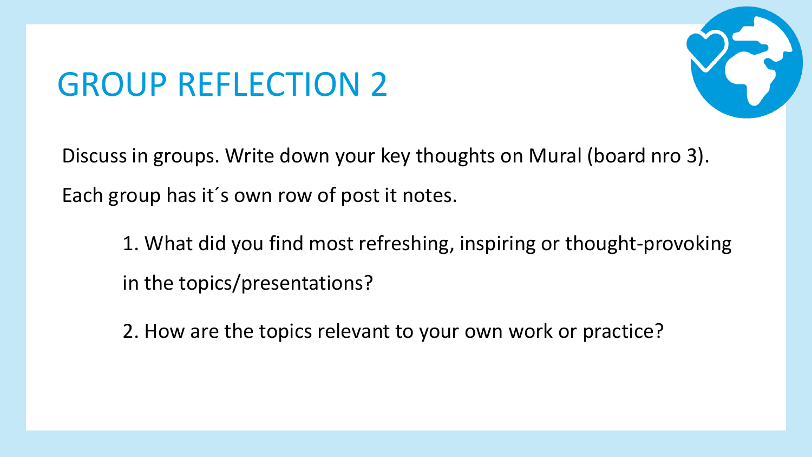### GROUP REFLECTION 2



Discuss in groups. Write down your key thoughts on Mural (board nro 3). Each group has it´s own row of post it notes.

- 1. What did you find most refreshing, inspiring or thought-provoking in the topics/presentations?
- 2. How are the topics relevant to your own work or practice?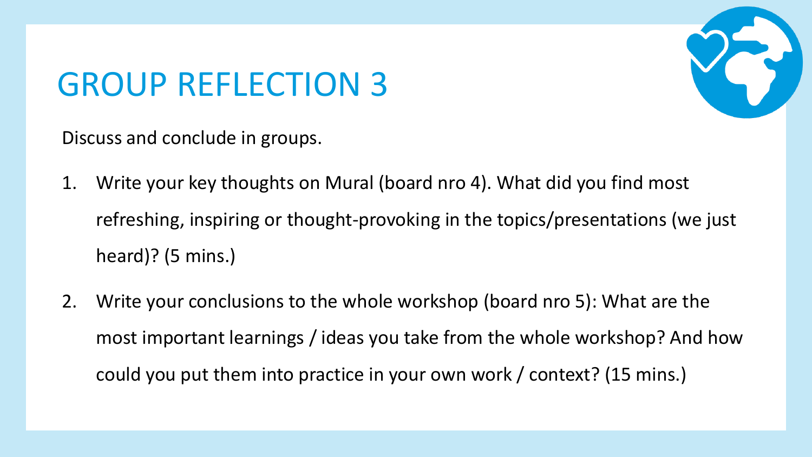## GROUP REFLECTION 3

Discuss and conclude in groups.

- 1. Write your key thoughts on Mural (board nro 4). What did you find most refreshing, inspiring or thought-provoking in the topics/presentations (we just heard)? (5 mins.)
- 2. Write your conclusions to the whole workshop (board nro 5): What are the most important learnings / ideas you take from the whole workshop? And how could you put them into practice in your own work / context? (15 mins.)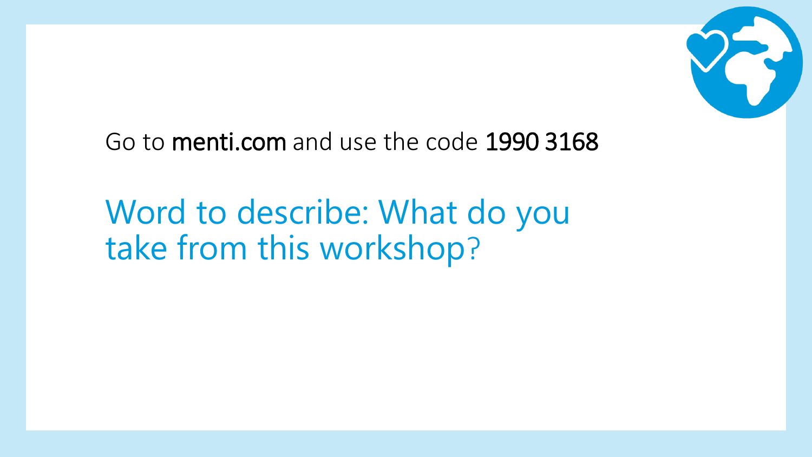

Go to menti.com and use the code 1990 3168

Word to describe: What do you take from this workshop?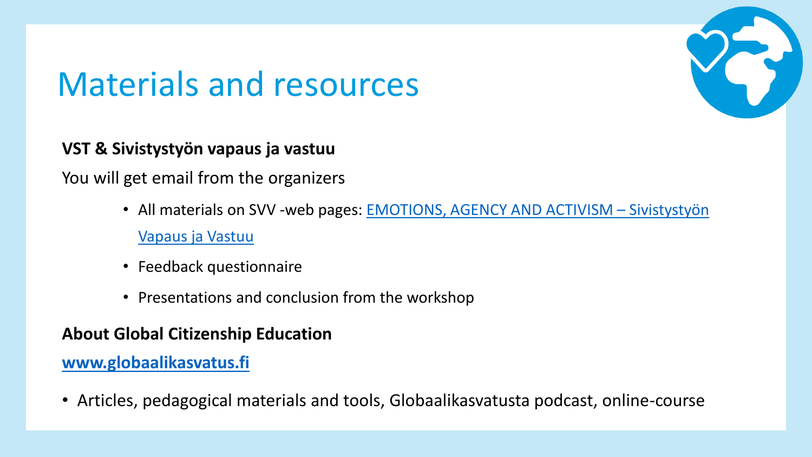### Materials and resources



#### **VST & Sivistystyön vapaus ja vastuu**

You will get email from the organizers

- All [materials on SVV -web pages: EMOTIONS, AGENCY AND ACTIVISM](http://www.vapausjavastuu.fi/emotions-agency-and-activism/)  Sivistystyön Vapaus ja Vastuu
- Feedback questionnaire
- Presentations and conclusion from the workshop

#### **About Global Citizenship Education**

#### **[www.globaalikasvatus.fi](http://www.globaalikasvatus.fi/)**

• Articles, pedagogical materials and tools, Globaalikasvatusta podcast, online-course